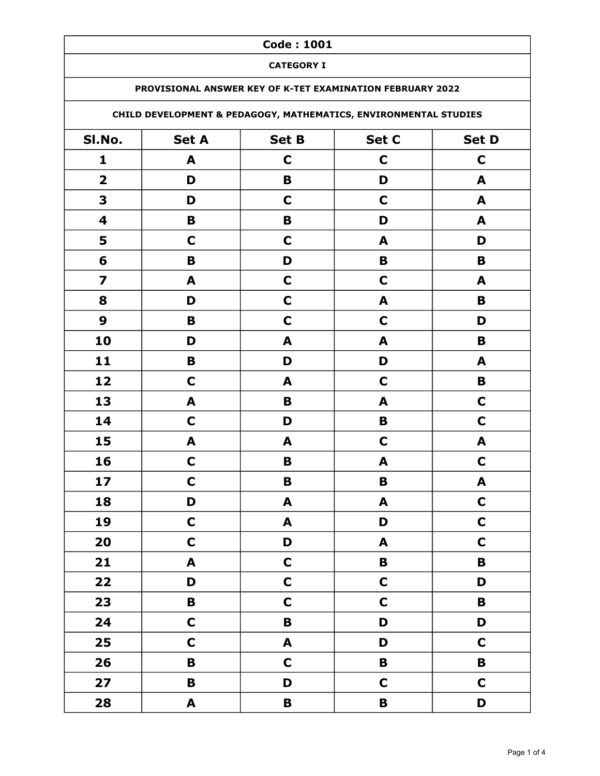### CATEGORY I

### PROVISIONAL ANSWER KEY OF K-TET EXAMINATION FEBRUARY 2022

# CHILD DEVELOPMENT & PEDAGOGY, MATHEMATICS, ENVIRONMENTAL STUDIES

| SI.No.                  | <b>Set A</b> | <b>Set B</b> | Set C            | Set D                     |
|-------------------------|--------------|--------------|------------------|---------------------------|
| 1                       | A            | $\mathbf C$  | $\mathbf C$      | $\mathbf C$               |
| $\mathbf 2$             | D            | $\mathbf B$  | D                | A                         |
| 3                       | D            | $\mathbf C$  | $\mathbf C$      | A                         |
| $\overline{\mathbf{4}}$ | B            | $\pmb B$     | D                | A                         |
| 5                       | $\mathbf C$  | $\mathbf C$  | A                | D                         |
| 6                       | B            | D            | B                | $\mathbf B$               |
| $\overline{\mathbf{z}}$ | A            | $\mathbf C$  | $\mathbf C$      | A                         |
| 8                       | D            | $\mathbf C$  | A                | $\mathbf B$               |
| $\boldsymbol{9}$        | B            | $\mathbf C$  | $\mathbf C$      | D                         |
| 10                      | D            | A            | $\blacktriangle$ | $\, {\bf B}$              |
| 11                      | $\mathbf B$  | D            | D                | A                         |
| 12                      | $\mathbf C$  | A            | $\mathbf C$      | $\mathbf B$               |
| 13                      | A            | $\mathbf B$  | A                | $\mathbf C$               |
| 14                      | $\mathbf C$  | D            | $\mathbf B$      | $\mathbf C$               |
| 15                      | A            | A            | $\mathbf C$      | A                         |
| 16                      | $\mathbf C$  | B            | A                | $\mathbf C$               |
| 17                      | $\mathbf C$  | $\mathbf B$  | $\pmb B$         | $\boldsymbol{\mathsf{A}}$ |
| 18                      | D            | A            | A                | $\mathbf C$               |
| 19                      | $\mathbf C$  | A            | D                | $\mathbf C$               |
| 20                      | $\mathbf C$  | D            | A                | $\mathbf C$               |
| 21                      | A            | $\mathbf C$  | B                | $\mathbf B$               |
| 22                      | D            | $\mathbf C$  | $\mathbf C$      | D                         |
| 23                      | $\mathbf B$  | $\mathbf C$  | $\mathbf C$      | B                         |
| 24                      | $\mathbf C$  | $\mathbf B$  | D                | D                         |
| 25                      | $\mathsf{C}$ | A            | D                | $\mathbf C$               |
| 26                      | B            | $\mathbf C$  | $\mathbf B$      | $\mathbf B$               |
| 27                      | $\mathbf B$  | D            | $\mathbf C$      | $\mathbf C$               |
| 28                      | $\mathbf{A}$ | $\mathbf B$  | B                | D                         |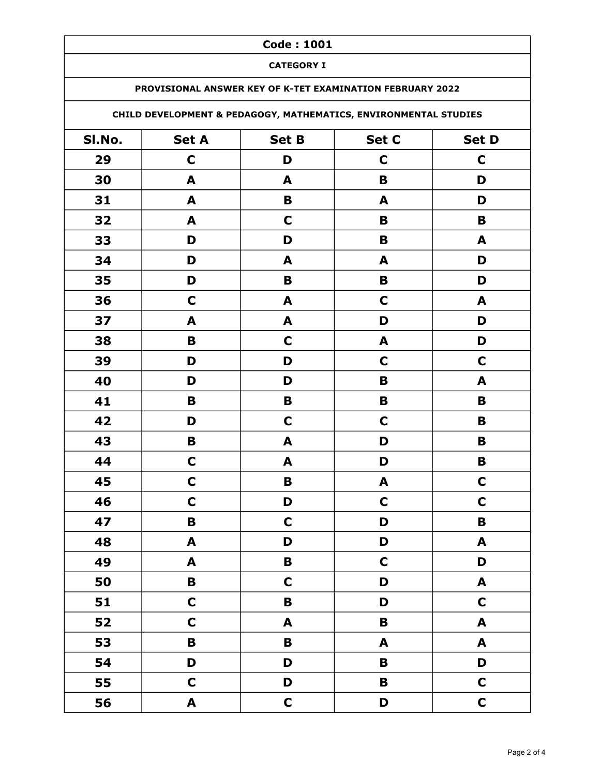### CATEGORY I

### PROVISIONAL ANSWER KEY OF K-TET EXAMINATION FEBRUARY 2022

# CHILD DEVELOPMENT & PEDAGOGY, MATHEMATICS, ENVIRONMENTAL STUDIES

| SI.No. | <b>Set A</b>              | Set B            | Set C        | Set D                     |
|--------|---------------------------|------------------|--------------|---------------------------|
| 29     | $\mathbf C$               | D                | $\mathbf C$  | $\mathbf C$               |
| 30     | A                         | A                | B            | D                         |
| 31     | A                         | B                | A            | D                         |
| 32     | $\blacktriangle$          | $\mathbf C$      | B            | B                         |
| 33     | D                         | D                | B            | A                         |
| 34     | D                         | A                | A            | D                         |
| 35     | D                         | B                | B            | D                         |
| 36     | $\mathbf C$               | A                | $\mathbf C$  | A                         |
| 37     | $\boldsymbol{A}$          | $\blacktriangle$ | D            | D                         |
| 38     | B                         | $\mathbf C$      | A            | D                         |
| 39     | D                         | D                | $\mathbf C$  | $\mathbf C$               |
| 40     | D                         | D                | B            | A                         |
| 41     | B                         | B                | B            | $\mathbf B$               |
| 42     | D                         | $\mathbf C$      | $\mathbf C$  | $\, {\bf B}$              |
| 43     | B                         | A                | D            | B                         |
| 44     | $\mathbf C$               | $\blacktriangle$ | D            | $\mathbf B$               |
| 45     | $\mathbf C$               | B                | A            | $\mathbf C$               |
| 46     | $\mathbf C$               | D                | $\mathbf C$  | $\mathbf C$               |
| 47     | $\mathbf B$               | $\mathbf C$      | D            | $\mathbf B$               |
| 48     | A                         | D                | D            | $\boldsymbol{\mathsf{A}}$ |
| 49     | $\boldsymbol{\mathsf{A}}$ | B                | $\mathbf C$  | D                         |
| 50     | $\mathbf B$               | $\mathbf C$      | D            | $\blacktriangle$          |
| 51     | $\mathbf C$               | $\mathbf B$      | D            | $\mathbf C$               |
| 52     | $\mathbf C$               | $\mathbf{A}$     | $\mathbf B$  | $\mathbf{A}$              |
| 53     | $\mathbf B$               | $\mathbf B$      | $\mathbf{A}$ | $\mathbf{A}$              |
| 54     | D                         | D                | B            | D                         |
| 55     | $\mathbf C$               | D                | B            | $\mathbf C$               |
| 56     | $\mathbf{A}$              | $\mathbf C$      | D            | $\mathbf C$               |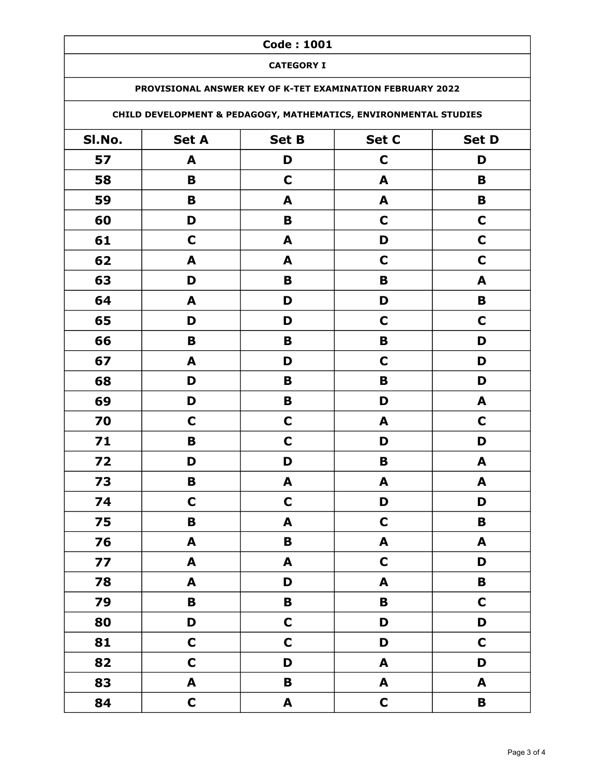### CATEGORY I

### PROVISIONAL ANSWER KEY OF K-TET EXAMINATION FEBRUARY 2022

# CHILD DEVELOPMENT & PEDAGOGY, MATHEMATICS, ENVIRONMENTAL STUDIES

| SI.No. | <b>Set A</b>     | <b>Set B</b> | Set C            | Set D            |
|--------|------------------|--------------|------------------|------------------|
| 57     | A                | D            | $\mathbf C$      | D                |
| 58     | $\mathbf B$      | $\mathbf C$  | A                | B                |
| 59     | B                | A            | A                | $\mathbf B$      |
| 60     | D                | B            | $\mathbf C$      | $\mathbf C$      |
| 61     | $\mathbf C$      | A            | D                | $\mathbf C$      |
| 62     | A                | A            | $\mathbf C$      | $\mathbf C$      |
| 63     | D                | B            | B                | A                |
| 64     | A                | D            | D                | $\mathbf B$      |
| 65     | D                | D            | $\mathbf C$      | $\mathbf C$      |
| 66     | $\mathbf B$      | B            | $\mathbf B$      | D                |
| 67     | A                | D            | $\mathbf C$      | D                |
| 68     | D                | B            | B                | D                |
| 69     | D                | B            | D                | $\blacktriangle$ |
| 70     | $\mathbf C$      | $\mathbf C$  | A                | $\mathbf C$      |
| 71     | B                | $\mathbf C$  | D                | D                |
| 72     | D                | D            | B                | $\blacktriangle$ |
| 73     | $\mathbf B$      | A            | A                | A                |
| 74     | $\mathbf C$      | $\mathbf C$  | D                | D                |
| 75     | $\mathbf B$      | A            | $\mathbf C$      | B                |
| 76     | A                | B            | A                | A                |
| 77     | A                | A            | $\mathbf C$      | D                |
| 78     | $\mathbf{A}$     | D            | A                | $\mathbf B$      |
| 79     | $\mathbf B$      | $\mathbf B$  | $\mathbf B$      | $\mathbf C$      |
| 80     | D                | $\mathbf C$  | D                | D                |
| 81     | $\mathbf C$      | $\mathbf C$  | D                | $\mathbf C$      |
| 82     | $\mathsf{C}$     | D            | $\mathbf{A}$     | D                |
| 83     | $\blacktriangle$ | $\mathbf B$  | $\blacktriangle$ | A                |
| 84     | $\mathsf{C}$     | $\mathbf{A}$ | $\mathsf{C}$     | $\mathbf B$      |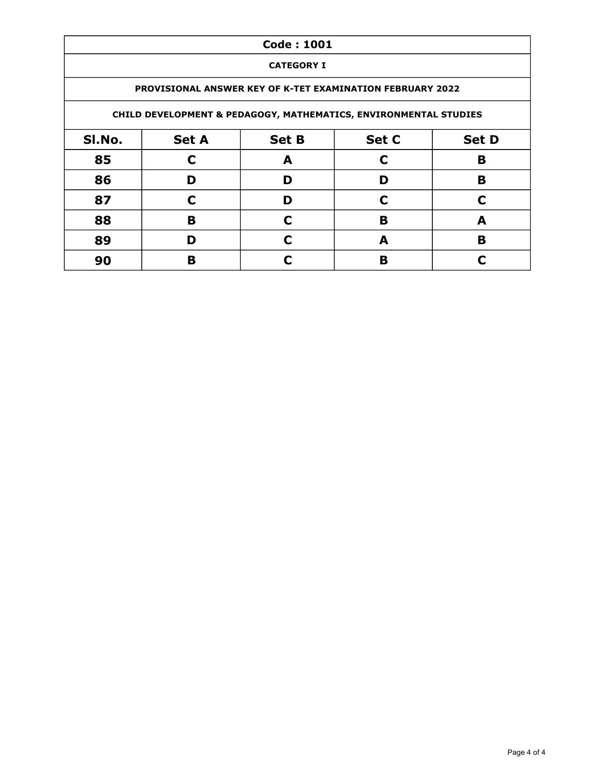|        |                                                                  | <b>Code: 1001</b> |                                                                  |   |  |  |
|--------|------------------------------------------------------------------|-------------------|------------------------------------------------------------------|---|--|--|
|        |                                                                  | <b>CATEGORY I</b> |                                                                  |   |  |  |
|        | <b>PROVISIONAL ANSWER KEY OF K-TET EXAMINATION FEBRUARY 2022</b> |                   |                                                                  |   |  |  |
|        |                                                                  |                   | CHILD DEVELOPMENT & PEDAGOGY, MATHEMATICS, ENVIRONMENTAL STUDIES |   |  |  |
| SI.No. | Set C<br><b>Set D</b><br><b>Set A</b><br><b>Set B</b>            |                   |                                                                  |   |  |  |
| 85     | C                                                                | A                 | C                                                                | B |  |  |
| 86     | D                                                                | D                 | D                                                                | B |  |  |
| 87     | C                                                                | D                 | C                                                                | C |  |  |
| 88     | в                                                                | C                 | B                                                                | A |  |  |
| 89     | D                                                                | C                 | A                                                                | B |  |  |
| 90     | в                                                                | C                 | в                                                                | r |  |  |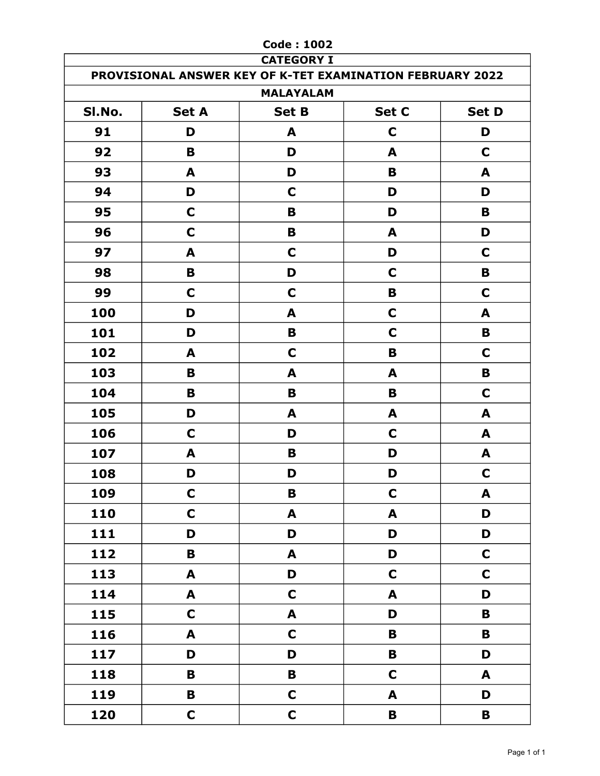|        |                  | <b>Code: 1002</b><br><b>CATEGORY I</b>                    |                  |              |
|--------|------------------|-----------------------------------------------------------|------------------|--------------|
|        |                  | PROVISIONAL ANSWER KEY OF K-TET EXAMINATION FEBRUARY 2022 |                  |              |
|        |                  | <b>MALAYALAM</b>                                          |                  |              |
| SI.No. | <b>Set A</b>     | <b>Set B</b>                                              | Set C            | <b>Set D</b> |
| 91     | D                | A                                                         | $\mathbf C$      | D            |
| 92     | B                | D                                                         | A                | C            |
| 93     | A                | D                                                         | B                | A            |
| 94     | D                | $\mathbf C$                                               | D                | D            |
| 95     | $\mathbf C$      | B                                                         | D                | B            |
| 96     | C                | B                                                         | A                | D            |
| 97     | A                | $\mathbf C$                                               | D                | $\mathbf C$  |
| 98     | B                | D                                                         | $\mathbf C$      | B            |
| 99     | C                | $\mathbf C$                                               | B                | C            |
| 100    | D                | A                                                         | $\mathbf C$      | A            |
| 101    | D                | B                                                         | C                | B            |
| 102    | A                | C                                                         | B                | C            |
| 103    | B                | A                                                         | A                | B            |
| 104    | B                | B                                                         | B                | $\mathbf C$  |
| 105    | D                | A                                                         | A                | A            |
| 106    | $\mathbf C$      | D                                                         | $\mathbf C$      | A            |
| 107    | A                | B                                                         | D                | A            |
| 108    | D                | D                                                         | D                | C            |
| 109    | $\mathbf C$      | B                                                         | $\mathbf C$      | A            |
| 110    | $\mathbf C$      | $\blacktriangle$                                          | $\blacktriangle$ | D            |
| 111    | D                | D                                                         | D                | D            |
| 112    | B                | $\blacktriangle$                                          | D                | $\mathbf C$  |
| 113    | A                | D                                                         | $\mathbf C$      | $\mathbf C$  |
| 114    | $\blacktriangle$ | $\mathbf C$                                               | A                | D            |
| 115    | $\mathbf C$      | $\blacktriangle$                                          | D                | B            |
| 116    | A                | $\mathbf C$                                               | $\, {\bf B}$     | $\pmb B$     |
| 117    | D                | D                                                         | $\, {\bf B}$     | D            |
| 118    | B                | B                                                         | $\mathbf C$      | A            |
| 119    | B                | $\mathsf{C}$                                              | A                | D            |
| 120    | $\mathbf C$      | $\mathsf{C}$                                              | B                | $\pmb B$     |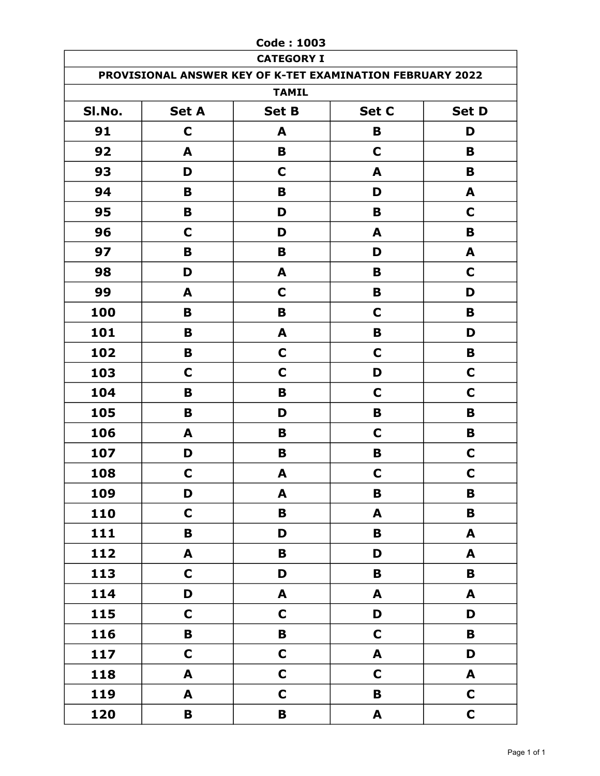|        |              | <b>Code: 1003</b>                                                              |                           |                  |
|--------|--------------|--------------------------------------------------------------------------------|---------------------------|------------------|
|        |              | <b>CATEGORY I</b><br>PROVISIONAL ANSWER KEY OF K-TET EXAMINATION FEBRUARY 2022 |                           |                  |
|        |              | <b>TAMIL</b>                                                                   |                           |                  |
| SI.No. | <b>Set A</b> | <b>Set B</b>                                                                   | Set C                     | <b>Set D</b>     |
| 91     | $\mathbf C$  | A                                                                              | B                         | D                |
| 92     | A            | B                                                                              | $\mathbf C$               | B                |
| 93     | D            | C                                                                              | A                         | B                |
| 94     | B            | B                                                                              | D                         | A                |
| 95     | B            | D                                                                              | B                         | $\mathbf C$      |
| 96     | C            | D                                                                              | A                         | B                |
| 97     | B            | B                                                                              | D                         | A                |
| 98     | D            | A                                                                              | B                         | $\mathbf C$      |
| 99     | A            | C                                                                              | B                         | D                |
| 100    | B            | B                                                                              | $\mathbf C$               | B                |
| 101    | B            | A                                                                              | B                         | D                |
| 102    | B            | $\mathbf C$                                                                    | $\mathbf C$               | B                |
| 103    | C            | $\mathbf C$                                                                    | D                         | C                |
| 104    | B            | B                                                                              | $\mathbf C$               | C                |
| 105    | B            | D                                                                              | B                         | B                |
| 106    | A            | B                                                                              | C                         | B                |
| 107    | D            | B                                                                              | B                         | $\mathbf C$      |
| 108    | $\mathbf C$  | A                                                                              | C                         | $\mathbf C$      |
| 109    | D            | A                                                                              | $\, {\bf B}$              | $\mathbf B$      |
| 110    | $\mathbf C$  | $\mathbf B$                                                                    | $\blacktriangle$          | B                |
| 111    | B            | D                                                                              | $\, {\bf B}$              | A                |
| 112    | A            | B                                                                              | D                         | A                |
| 113    | $\mathbf C$  | D                                                                              | $\, {\bf B}$              | $\mathbf B$      |
| 114    | D            | $\boldsymbol{\mathsf{A}}$                                                      | $\blacktriangle$          | $\blacktriangle$ |
| 115    | $\mathbf C$  | $\mathbf C$                                                                    | D                         | D                |
| 116    | B            | $\mathbf B$                                                                    | $\mathbf C$               | $\mathbf B$      |
| 117    | $\mathbf C$  | $\mathbf C$                                                                    | $\mathbf{A}$              | D                |
| 118    | A            | $\mathbf C$                                                                    | $\mathbf C$               | A                |
| 119    | A            | $\mathbf C$                                                                    | $\mathbf B$               | $\mathbf C$      |
| 120    | $\mathbf B$  | $\pmb B$                                                                       | $\boldsymbol{\mathsf{A}}$ | $\mathbf C$      |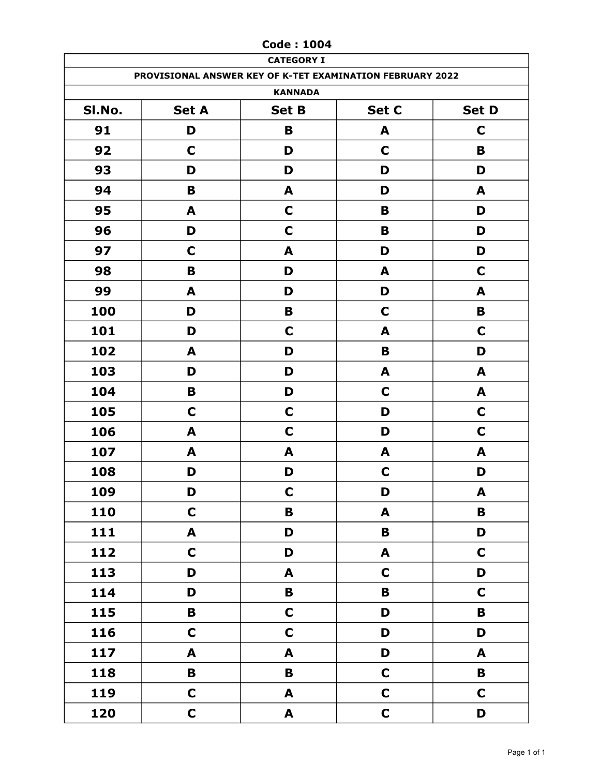|        | <b>CATEGORY I</b>                                         |                  |              |              |  |  |
|--------|-----------------------------------------------------------|------------------|--------------|--------------|--|--|
|        | PROVISIONAL ANSWER KEY OF K-TET EXAMINATION FEBRUARY 2022 |                  |              |              |  |  |
|        | <b>KANNADA</b>                                            |                  |              |              |  |  |
| SI.No. | <b>Set A</b>                                              | <b>Set B</b>     | Set C        | <b>Set D</b> |  |  |
| 91     | D                                                         | B                | A            | $\mathbf C$  |  |  |
| 92     | $\mathbf C$                                               | D                | C            | B            |  |  |
| 93     | D                                                         | D                | D            | D            |  |  |
| 94     | B                                                         | A                | D            | A            |  |  |
| 95     | A                                                         | $\mathbf C$      | B            | D            |  |  |
| 96     | D                                                         | $\mathbf C$      | B            | D            |  |  |
| 97     | $\mathbf C$                                               | A                | D            | D            |  |  |
| 98     | B                                                         | D                | A            | $\mathbf C$  |  |  |
| 99     | A                                                         | D                | D            | A            |  |  |
| 100    | D                                                         | B                | C            | B            |  |  |
| 101    | D                                                         | $\mathbf C$      | A            | $\mathbf C$  |  |  |
| 102    | A                                                         | D                | B            | D            |  |  |
| 103    | D                                                         | D                | A            | A            |  |  |
| 104    | B                                                         | D                | $\mathbf C$  | A            |  |  |
| 105    | $\mathbf C$                                               | $\mathbf C$      | D            | $\mathbf C$  |  |  |
| 106    | A                                                         | $\mathbf C$      | D            | $\mathbf C$  |  |  |
| 107    | A                                                         | A                | A            | A            |  |  |
| 108    | D                                                         | D                | $\mathbf C$  | D            |  |  |
| 109    | D                                                         | $\mathbf C$      | D            | A            |  |  |
| 110    | $\mathbf C$                                               | $\mathbf B$      | A            | $\mathbf B$  |  |  |
| 111    | A                                                         | D                | $\, {\bf B}$ | D            |  |  |
| 112    | $\mathbf C$                                               | D                | A            | $\mathbf C$  |  |  |
| 113    | D                                                         | A                | $\mathbf C$  | D            |  |  |
| 114    | D                                                         | $\mathbf B$      | $\mathbf B$  | $\mathbf C$  |  |  |
| 115    | $\mathbf B$                                               | $\mathbf C$      | D            | $\mathbf B$  |  |  |
| 116    | $\mathbf C$                                               | $\mathbf C$      | D            | D            |  |  |
| 117    | $\blacktriangle$                                          | $\blacktriangle$ | D            | A            |  |  |
| 118    | B                                                         | $\, {\bf B}$     | $\mathbf C$  | $\mathbf B$  |  |  |
| 119    | $\mathbf C$                                               | A                | $\mathbf C$  | $\mathbf C$  |  |  |
| 120    | $\mathbf C$                                               | $\mathbf{A}$     | $\mathbf C$  | D            |  |  |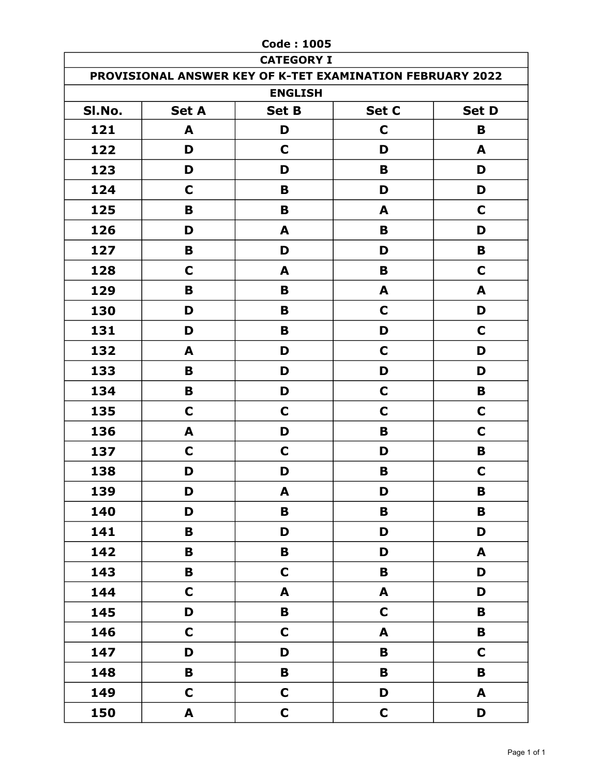|        |              | <b>Code: 1005</b>                                         |             |              |
|--------|--------------|-----------------------------------------------------------|-------------|--------------|
|        |              | <b>CATEGORY I</b>                                         |             |              |
|        |              | PROVISIONAL ANSWER KEY OF K-TET EXAMINATION FEBRUARY 2022 |             |              |
|        |              | <b>ENGLISH</b>                                            |             |              |
| SI.No. | <b>Set A</b> | <b>Set B</b>                                              | Set C       | <b>Set D</b> |
| 121    | A            | D                                                         | C           | B            |
| 122    | D            | C                                                         | D           | A            |
| 123    | D            | D                                                         | B           | D            |
| 124    | C            | B                                                         | D           | D            |
| 125    | B            | B                                                         | A           | C            |
| 126    | D            | A                                                         | B           | D            |
| 127    | B            | D                                                         | D           | B            |
| 128    | C            | A                                                         | B           | C            |
| 129    | B            | B                                                         | A           | A            |
| 130    | D            | B                                                         | C           | D            |
| 131    | D            | B                                                         | D           | C            |
| 132    | A            | D                                                         | C           | D            |
| 133    | B            | D                                                         | D           | D            |
| 134    | B            | D                                                         | C           | B            |
| 135    | C            | C                                                         | C           | C            |
| 136    | A            | D                                                         | B           | C            |
| 137    | $\mathbf C$  | C                                                         | D           | B            |
| 138    | D            | D                                                         | В           | $\mathbf C$  |
| 139    | D            | A                                                         | D           | $\mathbf B$  |
| 140    | D            | $\, {\bf B}$                                              | B           | $\mathbf B$  |
| 141    | B            | D                                                         | D           | D            |
| 142    | B            | B                                                         | D           | A            |
| 143    | $\, {\bf B}$ | $\mathbf C$                                               | B           | D            |
| 144    | $\mathbf C$  | A                                                         | A           | D            |
| 145    | D            | B                                                         | $\mathbf C$ | $\mathbf B$  |
| 146    | $\mathbf C$  | $\mathbf C$                                               | A           | B            |
| 147    | D            | D                                                         | $\mathbf B$ | $\mathbf C$  |
| 148    | B            | $\mathbf B$                                               | B           | B            |
| 149    | $\mathbf C$  | $\mathbf C$                                               | D           | A            |
| 150    | A            | $\mathbf C$                                               | $\mathbf C$ | D            |